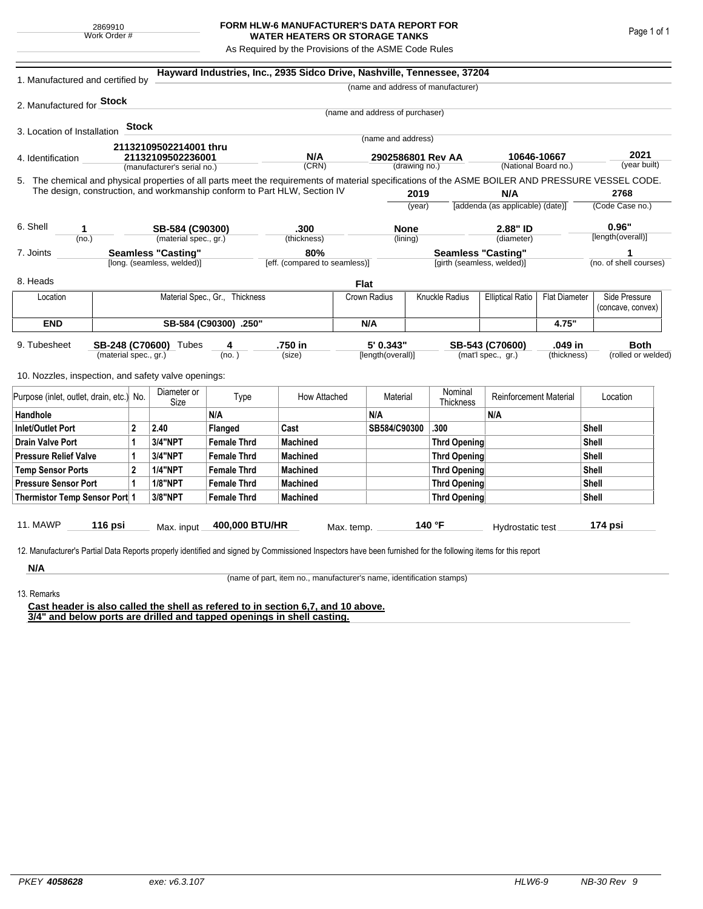## **FORM HLW-6 MANUFACTURER'S DATA REPORT FOR WATER HEATERS OR STORAGE TANKS**

As Required by the Provisions of the ASME Code Rules

| 1. Manufactured and certified by                                                                                                                              |                                |              |                                                         |                    | Hayward Industries, Inc., 2935 Sidco Drive, Nashville, Tennessee, 37204   |                                      |                                    |                            |                                                         |                                                 |                                     |                            |                                    |
|---------------------------------------------------------------------------------------------------------------------------------------------------------------|--------------------------------|--------------|---------------------------------------------------------|--------------------|---------------------------------------------------------------------------|--------------------------------------|------------------------------------|----------------------------|---------------------------------------------------------|-------------------------------------------------|-------------------------------------|----------------------------|------------------------------------|
|                                                                                                                                                               |                                |              |                                                         |                    |                                                                           |                                      |                                    |                            | (name and address of manufacturer)                      |                                                 |                                     |                            |                                    |
| 2. Manufactured for <b>Stock</b>                                                                                                                              |                                |              |                                                         |                    |                                                                           |                                      |                                    |                            |                                                         |                                                 |                                     |                            |                                    |
|                                                                                                                                                               |                                |              |                                                         |                    |                                                                           |                                      | (name and address of purchaser)    |                            |                                                         |                                                 |                                     |                            |                                    |
| 3. Location of Installation                                                                                                                                   |                                | <b>Stock</b> |                                                         |                    |                                                                           |                                      | (name and address)                 |                            |                                                         |                                                 |                                     |                            |                                    |
|                                                                                                                                                               |                                |              | 21132109502214001 thru                                  |                    |                                                                           |                                      |                                    |                            |                                                         |                                                 |                                     |                            |                                    |
| 4. Identification                                                                                                                                             |                                |              | 21132109502236001<br>(manufacturer's serial no.)        |                    | N/A<br>(CRN)                                                              |                                      | 2902586801 Rev AA<br>(drawing no.) |                            |                                                         |                                                 | 10646-10667<br>(National Board no.) |                            | 2021<br>(year built)               |
| 5. The chemical and physical properties of all parts meet the requirements of material specifications of the ASME BOILER AND PRESSURE VESSEL CODE.            |                                |              |                                                         |                    |                                                                           |                                      |                                    |                            |                                                         |                                                 |                                     |                            |                                    |
|                                                                                                                                                               |                                |              |                                                         |                    | The design, construction, and workmanship conform to Part HLW, Section IV |                                      |                                    | 2019                       |                                                         | N/A                                             |                                     |                            | 2768                               |
|                                                                                                                                                               |                                |              |                                                         |                    |                                                                           |                                      | (year)                             |                            |                                                         | [addenda (as applicable) (date)]                |                                     | (Code Case no.)            |                                    |
|                                                                                                                                                               |                                |              |                                                         |                    |                                                                           |                                      |                                    |                            |                                                         |                                                 |                                     |                            |                                    |
| 6. Shell<br>1                                                                                                                                                 |                                |              | SB-584 (C90300)                                         |                    | .300                                                                      |                                      | <b>None</b>                        |                            |                                                         | 2.88" ID                                        |                                     | 0.96"<br>[length(overall)] |                                    |
| (no.)                                                                                                                                                         |                                |              | (material spec., gr.)                                   |                    | (thickness)                                                               |                                      | (lining)                           |                            |                                                         | (diameter)                                      |                                     |                            |                                    |
| 7. Joints                                                                                                                                                     |                                |              | <b>Seamless "Casting"</b><br>[long. (seamless, welded)] |                    |                                                                           | 80%<br>[eff. (compared to seamless)] |                                    |                            | <b>Seamless "Casting"</b><br>[girth (seamless, welded)] |                                                 |                                     | (no. of shell courses)     |                                    |
|                                                                                                                                                               |                                |              |                                                         |                    |                                                                           |                                      |                                    |                            |                                                         |                                                 |                                     |                            |                                    |
| 8. Heads                                                                                                                                                      |                                |              |                                                         |                    |                                                                           | <b>Flat</b>                          |                                    |                            |                                                         |                                                 |                                     |                            |                                    |
| Location                                                                                                                                                      | Material Spec., Gr., Thickness |              |                                                         |                    |                                                                           |                                      | Crown Radius                       |                            | Knuckle Radius                                          | <b>Elliptical Ratio</b><br><b>Flat Diameter</b> |                                     |                            | Side Pressure<br>(concave, convex) |
| <b>END</b>                                                                                                                                                    | SB-584 (C90300) .250"          |              |                                                         |                    |                                                                           |                                      | N/A                                |                            |                                                         |                                                 | 4.75"                               |                            |                                    |
| 9. Tubesheet<br>SB-248 (C70600) Tubes                                                                                                                         |                                |              | 4                                                       | .750 in            |                                                                           | 5' 0.343"                            |                                    | .049 in<br>SB-543 (C70600) |                                                         |                                                 | <b>Both</b>                         |                            |                                    |
|                                                                                                                                                               | (material spec., gr.)          |              |                                                         | (no. )             | (size)                                                                    |                                      | [length(overall)]                  |                            |                                                         | (mat'l spec., gr.)                              | (thickness)                         |                            | (rolled or welded)                 |
| 10. Nozzles, inspection, and safety valve openings:                                                                                                           |                                |              |                                                         |                    |                                                                           |                                      |                                    |                            |                                                         |                                                 |                                     |                            |                                    |
| Purpose (inlet, outlet, drain, etc.) No.                                                                                                                      |                                |              | Diameter or<br>Size                                     | Type               | How Attached                                                              |                                      | Material                           |                            | Nominal<br>Thickness                                    |                                                 | <b>Reinforcement Material</b>       |                            | Location                           |
| Handhole                                                                                                                                                      |                                |              |                                                         | N/A                |                                                                           |                                      | N/A                                |                            |                                                         | N/A                                             |                                     |                            |                                    |
| <b>Inlet/Outlet Port</b><br>2                                                                                                                                 |                                | 2.40         | Flanged                                                 | Cast               |                                                                           | SB584/C90300                         |                                    | .300                       |                                                         |                                                 | Shell                               |                            |                                    |
| <b>Drain Valve Port</b><br>1                                                                                                                                  |                                |              | 3/4"NPT                                                 | <b>Female Thrd</b> | <b>Machined</b>                                                           |                                      |                                    |                            | <b>Thrd Opening</b>                                     |                                                 |                                     | Shell                      |                                    |
| <b>Pressure Relief Valve</b><br>1                                                                                                                             |                                |              | 3/4"NPT                                                 | <b>Female Thrd</b> | <b>Machined</b>                                                           |                                      |                                    |                            | <b>Thrd Opening</b>                                     |                                                 |                                     | Shell                      |                                    |
| $\overline{2}$<br><b>Temp Sensor Ports</b>                                                                                                                    |                                |              | <b>1/4"NPT</b>                                          | <b>Female Thrd</b> | <b>Machined</b>                                                           |                                      |                                    | <b>Thrd Opening</b>        |                                                         |                                                 |                                     | Shell                      |                                    |
| <b>Pressure Sensor Port</b><br>1                                                                                                                              |                                |              | <b>1/8"NPT</b>                                          | <b>Female Thrd</b> | <b>Machined</b>                                                           |                                      |                                    |                            | Thrd Opening                                            |                                                 |                                     | Shell                      |                                    |
| Thermistor Temp Sensor Port 1                                                                                                                                 |                                |              | 3/8"NPT                                                 | <b>Female Thrd</b> | <b>Machined</b>                                                           |                                      |                                    | Thrd Opening               |                                                         |                                                 | Shell                               |                            |                                    |
| 11. MAWP                                                                                                                                                      | 116 psi                        |              | Max. input                                              | 400,000 BTU/HR     |                                                                           | Max. temp.                           |                                    |                            | 140 °F                                                  | Hydrostatic test                                |                                     |                            | 174 psi                            |
|                                                                                                                                                               |                                |              |                                                         |                    |                                                                           |                                      |                                    |                            |                                                         |                                                 |                                     |                            |                                    |
| 12. Manufacturer's Partial Data Reports properly identified and signed by Commissioned Inspectors have been furnished for the following items for this report |                                |              |                                                         |                    |                                                                           |                                      |                                    |                            |                                                         |                                                 |                                     |                            |                                    |
| N/A                                                                                                                                                           |                                |              |                                                         |                    |                                                                           |                                      |                                    |                            |                                                         |                                                 |                                     |                            |                                    |

(name of part, item no., manufacturer's name, identification stamps)

13. Remarks

**Cast header is also called the shell as refered to in section 6,7, and 10 above. 3/4" and below ports are drilled and tapped openings in shell casting.**